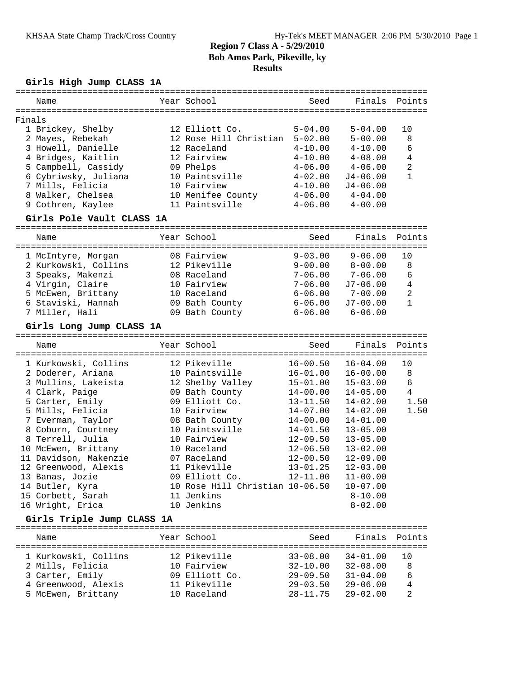# **Girls High Jump CLASS 1A**

|        | Name                                  | Year School                     | Seed         | Finals                     | Points         |
|--------|---------------------------------------|---------------------------------|--------------|----------------------------|----------------|
| Finals |                                       |                                 |              |                            |                |
|        | 1 Brickey, Shelby                     | 12 Elliott Co.                  | $5 - 04.00$  | $5 - 04.00$                | 10             |
|        | 2 Mayes, Rebekah                      | 12 Rose Hill Christian          | $5 - 02.00$  | $5 - 00.00$                | 8              |
|        | 3 Howell, Danielle                    | 12 Raceland                     | $4 - 10.00$  | $4 - 10.00$                | 6              |
|        | 4 Bridges, Kaitlin                    | 12 Fairview                     | $4 - 10.00$  | $4 - 08.00$                | 4              |
|        | 5 Campbell, Cassidy                   | 09 Phelps                       | $4 - 06.00$  | $4 - 06.00$                | $\overline{2}$ |
|        | 6 Cybriwsky, Juliana                  | 10 Paintsville                  | $4 - 02.00$  | $J4 - 06.00$               | $\mathbf{1}$   |
|        | 7 Mills, Felicia                      | 10 Fairview                     | $4 - 10.00$  | $J4 - 06.00$               |                |
|        | 8 Walker, Chelsea                     | 10 Menifee County               | $4 - 06.00$  | $4 - 04.00$                |                |
|        | 9 Cothren, Kaylee                     | 11 Paintsville                  | $4 - 06.00$  | $4 - 00.00$                |                |
|        | Girls Pole Vault CLASS 1A             |                                 |              |                            |                |
|        |                                       |                                 |              |                            |                |
|        | Name                                  | Year School                     | Seed         | Finals                     | Points         |
|        | 1 McIntyre, Morgan                    | 08 Fairview                     | $9 - 03.00$  | $9 - 06.00$                | 10             |
|        | 2 Kurkowski, Collins                  | 12 Pikeville                    | $9 - 00.00$  | $8 - 00.00$                | 8              |
|        | 3 Speaks, Makenzi                     | 08 Raceland                     | $7 - 06.00$  | $7 - 06.00$                | 6              |
|        | 4 Virgin, Claire                      | 10 Fairview                     | $7 - 06.00$  | $J7 - 06.00$               | $\overline{4}$ |
|        | 5 McEwen, Brittany                    | 10 Raceland                     | $6 - 06.00$  | $7 - 00.00$                | 2              |
|        | 6 Staviski, Hannah                    | 09 Bath County                  | $6 - 06.00$  | $J7 - 00.00$               | $\mathbf{1}$   |
|        | 7 Miller, Hali                        | 09 Bath County                  | $6 - 06.00$  | $6 - 06.00$                |                |
|        | Girls Long Jump CLASS 1A              |                                 |              |                            |                |
|        |                                       |                                 |              |                            |                |
|        | Name                                  | Year School                     | Seed         | Finals                     | Points         |
|        | 1 Kurkowski, Collins                  | 12 Pikeville                    | $16 - 00.50$ | $16 - 04.00$               | 10             |
|        | 2 Doderer, Ariana                     | 10 Paintsville                  | $16 - 01.00$ | $16 - 00.00$               | 8              |
|        | 3 Mullins, Lakeista                   | 12 Shelby Valley                | $15 - 01.00$ | $15 - 03.00$               | 6              |
|        | 4 Clark, Paige                        | 09 Bath County                  | $14 - 00.00$ | $14 - 05.00$               | 4              |
|        | 5 Carter, Emily                       | 09 Elliott Co.                  | $13 - 11.50$ | $14 - 02.00$               | 1.50           |
|        | 5 Mills, Felicia                      | 10 Fairview                     | $14 - 07.00$ | $14 - 02.00$               | 1.50           |
|        | 7 Everman, Taylor                     | 08 Bath County                  | $14 - 00.00$ | $14 - 01.00$               |                |
|        | 8 Coburn, Courtney                    | 10 Paintsville                  | $14 - 01.50$ | $13 - 05.00$               |                |
|        | 8 Terrell, Julia                      | 10 Fairview                     | $12 - 09.50$ | $13 - 05.00$               |                |
|        | 10 McEwen, Brittany                   | 10 Raceland                     | $12 - 06.50$ | $13 - 02.00$               |                |
|        | 11 Davidson, Makenzie                 | 07 Raceland                     | $12 - 00.50$ | $12 - 09.00$               |                |
|        | 12 Greenwood, Alexis                  | 11 Pikeville                    | $13 - 01.25$ | $12 - 03.00$               |                |
|        | 13 Banas, Jozie                       | 09 Elliott Co.                  | $12 - 11.00$ | $11 - 00.00$               |                |
|        | 14 Butler, Kyra                       | 10 Rose Hill Christian 10-06.50 |              | $10 - 07.00$               |                |
|        |                                       |                                 |              |                            |                |
|        |                                       | 11 Jenkins                      |              |                            |                |
|        | 15 Corbett, Sarah<br>16 Wright, Erica | 10 Jenkins                      |              | $8 - 10.00$<br>$8 - 02.00$ |                |

# **Girls Triple Jump CLASS 1A**

| Name                 | Year School    | Seed           | Finals Points |     |
|----------------------|----------------|----------------|---------------|-----|
| 1 Kurkowski, Collins | 12 Pikeville   | $33 - 08.00$   | $34 - 01.00$  | 1 O |
| 2 Mills, Felicia     | 10 Fairview    | $32 - 10.00$   | $32 - 08.00$  | 8   |
| 3 Carter, Emily      | 09 Elliott Co. | $29 - 09.50$   | $31 - 04.00$  | 6   |
| 4 Greenwood, Alexis  | 11 Pikeville   | $29 - 03.50$   | $29 - 06.00$  | 4   |
| 5 McEwen, Brittany   | 10 Raceland    | $28 - 11$ , 75 | $29 - 02.00$  | 2   |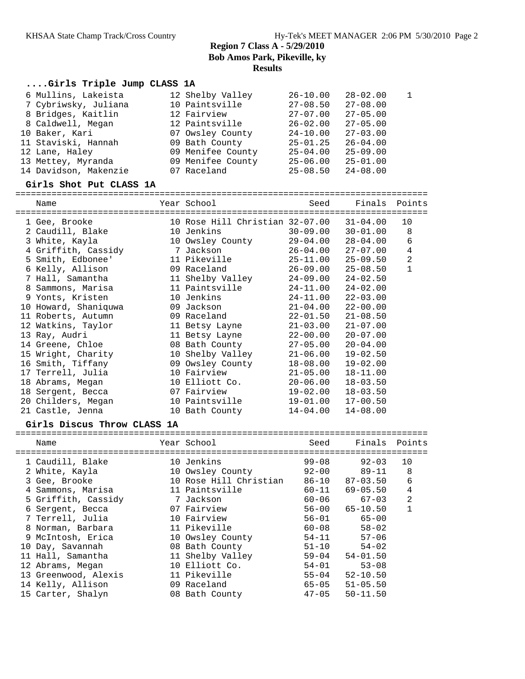## **....Girls Triple Jump CLASS 1A**

| 6 Mullins, Lakeista   | 12 Shelby Valley  | $26 - 10.00$ | $28 - 02.00$ | $\mathbf{1}$ |
|-----------------------|-------------------|--------------|--------------|--------------|
| 7 Cybriwsky, Juliana  | 10 Paintsville    | $27 - 08.50$ | $27 - 08.00$ |              |
| 8 Bridges, Kaitlin    | 12 Fairview       | $27 - 07.00$ | $27 - 05.00$ |              |
| 8 Caldwell, Megan     | 12 Paintsville    | $26 - 02.00$ | $27 - 05.00$ |              |
| 10 Baker, Kari        | 07 Owsley County  | $24 - 10.00$ | $27 - 03.00$ |              |
| 11 Staviski, Hannah   | 09 Bath County    | $25 - 01.25$ | $26 - 04.00$ |              |
| 12 Lane, Haley        | 09 Menifee County | $25 - 04.00$ | $25 - 09.00$ |              |
| 13 Mettey, Myranda    | 09 Menifee County | $25 - 06.00$ | $25 - 01.00$ |              |
| 14 Davidson, Makenzie | 07 Raceland       | $25 - 08.50$ | $24 - 08.00$ |              |

### **Girls Shot Put CLASS 1A**

================================================================================ Name Year School Seed Finals Points

| 1 Gee, Brooke        |  |                                                                                                                                                                                                                                                                                                                                               | $31 - 04.00$                    | 10             |
|----------------------|--|-----------------------------------------------------------------------------------------------------------------------------------------------------------------------------------------------------------------------------------------------------------------------------------------------------------------------------------------------|---------------------------------|----------------|
| 2 Caudill, Blake     |  | $30 - 09.00$                                                                                                                                                                                                                                                                                                                                  | $30 - 01.00$                    | 8              |
| 3 White, Kayla       |  | $29 - 04.00$                                                                                                                                                                                                                                                                                                                                  | $28 - 04.00$                    | 6              |
| 4 Griffith, Cassidy  |  | $26 - 04.00$                                                                                                                                                                                                                                                                                                                                  | $27 - 07.00$                    | 4              |
| 5 Smith, Edbonee'    |  | 25-11.00                                                                                                                                                                                                                                                                                                                                      | $25 - 09.50$                    | $\overline{a}$ |
| 6 Kelly, Allison     |  | 26-09.00                                                                                                                                                                                                                                                                                                                                      | $25 - 08.50$                    | $\mathbf{1}$   |
| 7 Hall, Samantha     |  | 24-09.00                                                                                                                                                                                                                                                                                                                                      | $24 - 02.50$                    |                |
| 8 Sammons, Marisa    |  | 24-11.00                                                                                                                                                                                                                                                                                                                                      | $24 - 02.00$                    |                |
| 9 Yonts, Kristen     |  | 24-11.00                                                                                                                                                                                                                                                                                                                                      | $22 - 03.00$                    |                |
| 10 Howard, Shaniquwa |  | $21 - 04.00$                                                                                                                                                                                                                                                                                                                                  | $22 - 00.00$                    |                |
| 11 Roberts, Autumn   |  | $22 - 01.50$                                                                                                                                                                                                                                                                                                                                  | $21 - 08.50$                    |                |
| 12 Watkins, Taylor   |  | $21 - 03.00$                                                                                                                                                                                                                                                                                                                                  | $21 - 07.00$                    |                |
| 13 Ray, Audri        |  | $22 - 00.00$                                                                                                                                                                                                                                                                                                                                  | $20 - 07.00$                    |                |
| 14 Greene, Chloe     |  | $27 - 05.00$                                                                                                                                                                                                                                                                                                                                  | $20 - 04.00$                    |                |
| 15 Wright, Charity   |  | $21 - 06.00$                                                                                                                                                                                                                                                                                                                                  | $19 - 02.50$                    |                |
| 16 Smith, Tiffany    |  | $18 - 08.00$                                                                                                                                                                                                                                                                                                                                  | $19 - 02.00$                    |                |
| 17 Terrell, Julia    |  | $21 - 05.00$                                                                                                                                                                                                                                                                                                                                  | $18 - 11.00$                    |                |
| 18 Abrams, Megan     |  | $20 - 06.00$                                                                                                                                                                                                                                                                                                                                  | $18 - 03.50$                    |                |
| 18 Sergent, Becca    |  | 19-02.00                                                                                                                                                                                                                                                                                                                                      | $18 - 03.50$                    |                |
| 20 Childers, Megan   |  | 19-01.00                                                                                                                                                                                                                                                                                                                                      | $17 - 00.50$                    |                |
| 21 Castle, Jenna     |  | $14 - 04.00$                                                                                                                                                                                                                                                                                                                                  | $14 - 08.00$                    |                |
|                      |  | 10 Jenkins<br>10 Owsley County<br>7 Jackson<br>11 Pikeville<br>09 Raceland<br>11 Shelby Valley<br>11 Paintsville<br>10 Jenkins<br>09 Jackson<br>09 Raceland<br>11 Betsy Layne<br>11 Betsy Layne<br>08 Bath County<br>10 Shelby Valley<br>09 Owsley County<br>10 Fairview<br>10 Elliott Co.<br>07 Fairview<br>10 Paintsville<br>10 Bath County | 10 Rose Hill Christian 32-07.00 |                |

## **Girls Discus Throw CLASS 1A**

| Name                 | Year School            | Seed      | Finals Points |                |
|----------------------|------------------------|-----------|---------------|----------------|
| 1 Caudill, Blake     | 10 Jenkins             | $99 - 08$ | $92 - 03$     | 10             |
| 2 White, Kayla       | 10 Owsley County       | $92 - 00$ | $89 - 11$     | 8              |
| 3 Gee, Brooke        | 10 Rose Hill Christian | 86-10     | $87 - 03.50$  | 6              |
| 4 Sammons, Marisa    | 11 Paintsville         | 60-11     | $69 - 05.50$  | 4              |
| 5 Griffith, Cassidy  | 7 Jackson              | 60-06     | $67 - 03$     | $\overline{2}$ |
| 6 Sergent, Becca     | 07 Fairview            | 56-00     | $65 - 10.50$  | $\mathbf{1}$   |
| 7 Terrell, Julia     | 10 Fairview            | $56 - 01$ | $65 - 00$     |                |
| 8 Norman, Barbara    | 11 Pikeville           | 60-08     | $58 - 02$     |                |
| 9 McIntosh, Erica    | 10 Owsley County       | 54-11     | $57 - 06$     |                |
| 10 Day, Savannah     | 08 Bath County         | $51 - 10$ | $54 - 02$     |                |
| 11 Hall, Samantha    | 11 Shelby Valley       | $59 - 04$ | $54 - 01.50$  |                |
| 12 Abrams, Megan     | 10 Elliott Co.         | $54 - 01$ | $53 - 08$     |                |
| 13 Greenwood, Alexis | 11 Pikeville           | $55 - 04$ | $52 - 10.50$  |                |
| 14 Kelly, Allison    | 09 Raceland            | 65-05     | $51 - 05.50$  |                |
| 15 Carter, Shalyn    | 08 Bath County         | $47 - 05$ | $50 - 11.50$  |                |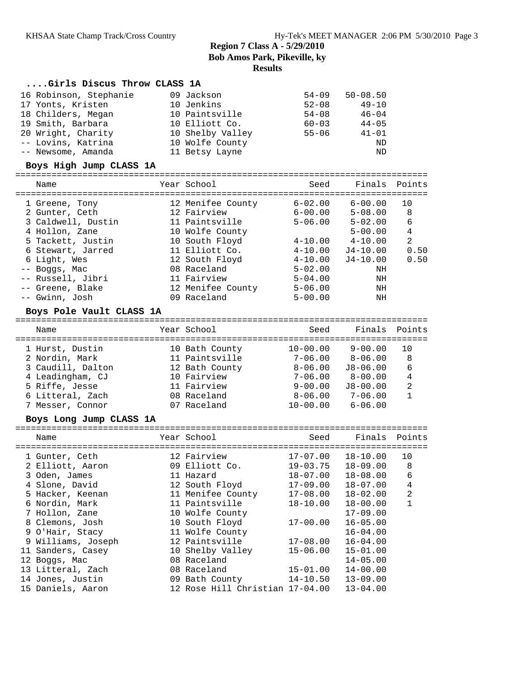### **....Girls Discus Throw CLASS 1A**

| 16 Robinson, Stephanie | 09 Jackson       | $54 - 09$ | $50 - 08.50$ |
|------------------------|------------------|-----------|--------------|
| 17 Yonts, Kristen      | 10 Jenkins       | $52 - 08$ | $49 - 10$    |
| 18 Childers, Megan     | 10 Paintsville   | $54 - 08$ | $46 - 04$    |
| 19 Smith, Barbara      | 10 Elliott Co.   | $60 - 03$ | $44 - 05$    |
| 20 Wright, Charity     | 10 Shelby Valley | $55 - 06$ | $41 - 01$    |
| -- Lovins, Katrina     | 10 Wolfe County  |           | ND           |
| -- Newsome, Amanda     | 11 Betsy Layne   |           | ND           |

### **Boys High Jump CLASS 1A**

#### ================================================================================ Seed Finals Points

| nallit             | IEAL DUILUUI      | beeu        | r tiid te   | PULIILS |
|--------------------|-------------------|-------------|-------------|---------|
| 1 Greene, Tony     | 12 Menifee County | $6 - 02.00$ | $6 - 00.00$ | 10      |
| 2 Gunter, Ceth     | 12 Fairview       | $6 - 00.00$ | $5 - 08.00$ | 8       |
| 3 Caldwell, Dustin | 11 Paintsville    | $5 - 06.00$ | $5 - 02.00$ | 6       |
| 4 Hollon, Zane     | 10 Wolfe County   |             | $5 - 00.00$ | 4       |
| 5 Tackett, Justin  | 10 South Floyd    | $4 - 10.00$ | $4 - 10.00$ | 2       |
| 6 Stewart, Jarred  | 11 Elliott Co.    | $4 - 10.00$ | J4-10.00    | 0.50    |
| 6 Light, Wes       | 12 South Floyd    | $4 - 10.00$ | $J4-10.00$  | 0.50    |
| -- Boggs, Mac      | 08 Raceland       | $5 - 02.00$ | ΝH          |         |
| -- Russell, Jibri  | 11 Fairview       | $5 - 04.00$ | ΝH          |         |
| -- Greene, Blake   | 12 Menifee County | $5 - 06.00$ | ΝH          |         |
| -- Gwinn, Josh     | 09 Raceland       | $5 - 00.00$ | ΝH          |         |
|                    |                   |             |             |         |

### **Boys Pole Vault CLASS 1A**

### ================================================================================ Name The Year School Seed Finals Points ================================================================================ 1 Hurst, Dustin 10 Bath County 10-00.00 9-00.00 10 2 Nordin, Mark 11 Paintsville 7-06.00 8-06.00 8 3 Caudill, Dalton 12 Bath County 8-06.00 J8-06.00 6 4 Leadingham, CJ 10 Fairview 7-06.00 8-00.00 4 5 Riffe, Jesse 11 Fairview 9-00.00 J8-00.00 2 6 Litteral, Zach 08 Raceland 8-06.00 7-06.00 1 7 Messer, Connor 07 Raceland 10-00.00 6-06.00

### **Boys Long Jump CLASS 1A**

| Name               | Year School                     | Seed         | Finals Points |                |
|--------------------|---------------------------------|--------------|---------------|----------------|
| 1 Gunter, Ceth     | 12 Fairview                     | 17-07.00     | 18-10.00      | 10             |
| 2 Elliott, Aaron   | 09 Elliott Co.                  | 19-03.75     | $18 - 09.00$  | 8              |
| 3 Oden, James      | 11 Hazard                       | 18-07.00     | $18 - 08.00$  | 6              |
| 4 Slone, David     | 12 South Floyd                  | 17-09.00     | $18 - 07.00$  | 4              |
| 5 Hacker, Keenan   | 11 Menifee County               | 17-08.00     | $18 - 02.00$  | $\overline{2}$ |
| 6 Nordin, Mark     | 11 Paintsville                  | 18-10.00     | $18 - 00.00$  | 1              |
| 7 Hollon, Zane     | 10 Wolfe County                 |              | $17 - 09.00$  |                |
| 8 Clemons, Josh    | 10 South Floyd                  | 17-00.00     | $16 - 05.00$  |                |
| 9 O'Hair, Stacy    | 11 Wolfe County                 |              | $16 - 04.00$  |                |
| 9 Williams, Joseph | 12 Paintsville                  | 17-08.00     | $16 - 04.00$  |                |
| 11 Sanders, Casey  | 10 Shelby Valley                | 15-06.00     | $15 - 01.00$  |                |
| 12 Boggs, Mac      | 08 Raceland                     |              | $14 - 05.00$  |                |
| 13 Litteral, Zach  | 08 Raceland                     | $15 - 01.00$ | $14 - 00.00$  |                |
| 14 Jones, Justin   | 09 Bath County                  | 14-10.50     | $13 - 09.00$  |                |
| 15 Daniels, Aaron  | 12 Rose Hill Christian 17-04.00 |              | $13 - 04.00$  |                |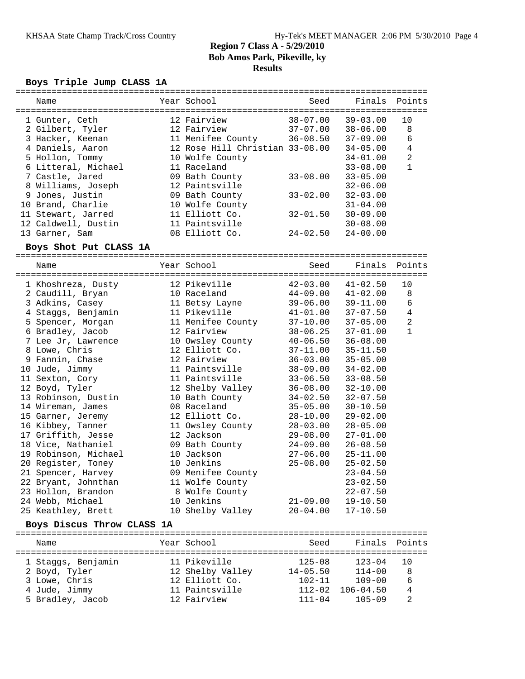#### **Boys Triple Jump CLASS 1A**

| Name                | Year School                     | Seed         | Finals Points |                |
|---------------------|---------------------------------|--------------|---------------|----------------|
| 1 Gunter, Ceth      | 12 Fairview                     | 38-07.00     | $39 - 03.00$  | 10             |
| 2 Gilbert, Tyler    | 12 Fairview                     | $37 - 07.00$ | $38 - 06.00$  | 8              |
| 3 Hacker, Keenan    | 11 Menifee County               | $36 - 08.50$ | $37 - 09.00$  | 6              |
| 4 Daniels, Aaron    | 12 Rose Hill Christian 33-08.00 |              | $34 - 05.00$  | 4              |
| 5 Hollon, Tommy     | 10 Wolfe County                 |              | $34 - 01.00$  | $\overline{2}$ |
| 6 Litteral, Michael | 11 Raceland                     |              | $33 - 08.00$  |                |
| 7 Castle, Jared     | 09 Bath County                  | $33 - 08.00$ | $33 - 05.00$  |                |
| 8 Williams, Joseph  | 12 Paintsville                  |              | $32 - 06.00$  |                |
| 9 Jones, Justin     | 09 Bath County                  | $33 - 02.00$ | $32 - 03.00$  |                |
| 10 Brand, Charlie   | 10 Wolfe County                 |              | $31 - 04.00$  |                |
| 11 Stewart, Jarred  | 11 Elliott Co.                  | $32 - 01.50$ | $30 - 09.00$  |                |
| 12 Caldwell, Dustin | 11 Paintsville                  |              | $30 - 08.00$  |                |
| 13 Garner, Sam      | 08 Elliott Co.                  | $24 - 02.50$ | $24 - 00.00$  |                |
|                     |                                 |              |               |                |

### **Boys Shot Put CLASS 1A**

================================================================================ Name Year School Seed Finals Points ================================================================================ 1 Khoshreza, Dusty 12 Pikeville 42-03.00 41-02.50 10 2 Caudill, Bryan 10 Raceland 44-09.00 41-02.00 8 3 Adkins, Casey 11 Betsy Layne 39-06.00 39-11.00 6 4 Staggs, Benjamin 11 Pikeville 41-01.00 37-07.50 4 5 Spencer, Morgan 11 Menifee County 37-10.00 37-05.00 2 6 Bradley, Jacob 12 Fairview 38-06.25 37-01.00 1 7 Lee Jr, Lawrence 10 Owsley County 40-06.50 36-08.00 8 Lowe, Chris 12 Elliott Co. 37-11.00 35-11.50 9 Fannin, Chase 12 Fairview 36-03.00 35-05.00 10 Jude, Jimmy 11 Paintsville 38-09.00 34-02.00 11 Sexton, Cory 11 Paintsville 33-06.50 33-08.50 12 Boyd, Tyler 12 Shelby Valley 36-08.00 32-10.00 13 Robinson, Dustin 10 Bath County 34-02.50 32-07.50 14 Wireman, James 08 Raceland 35-05.00 30-10.50 15 Garner, Jeremy 12 Elliott Co. 28-10.00 29-02.00 16 Kibbey, Tanner 11 Owsley County 28-03.00 28-05.00 17 Griffith, Jesse 12 Jackson 29-08.00 27-01.00 18 Vice, Nathaniel 09 Bath County 24-09.00 26-08.50 19 Robinson, Michael 10 Jackson 27-06.00 25-11.00 20 Register, Toney 10 Jenkins 25-08.00 25-02.50 21 Spencer, Harvey 09 Menifee County 23-04.50 22 Bryant, Johnthan 11 Wolfe County 23-02.50 23 Hollon, Brandon 8 Wolfe County 22-07.50 24 Webb, Michael 10 Jenkins 21-09.00 19-10.50 25 Keathley, Brett 10 Shelby Valley 20-04.00 17-10.50

### **Boys Discus Throw CLASS 1A**

| Name               | Year School      | Seed         | Finals Points |     |
|--------------------|------------------|--------------|---------------|-----|
| 1 Staggs, Benjamin | 11 Pikeville     | $125 - 08$   | $123 - 04$    | 1 O |
| 2 Boyd, Tyler      | 12 Shelby Valley | $14 - 05.50$ | $114 - 00$    | 8   |
| 3 Lowe, Chris      | 12 Elliott Co.   | $102 - 11$   | $109 - 00$    | 6   |
| 4 Jude, Jimmy      | 11 Paintsville   | $112 - 02$   | $106 - 04.50$ | 4   |
| 5 Bradley, Jacob   | 12 Fairview      | $111 - 04$   | $105 - 09$    | 2   |